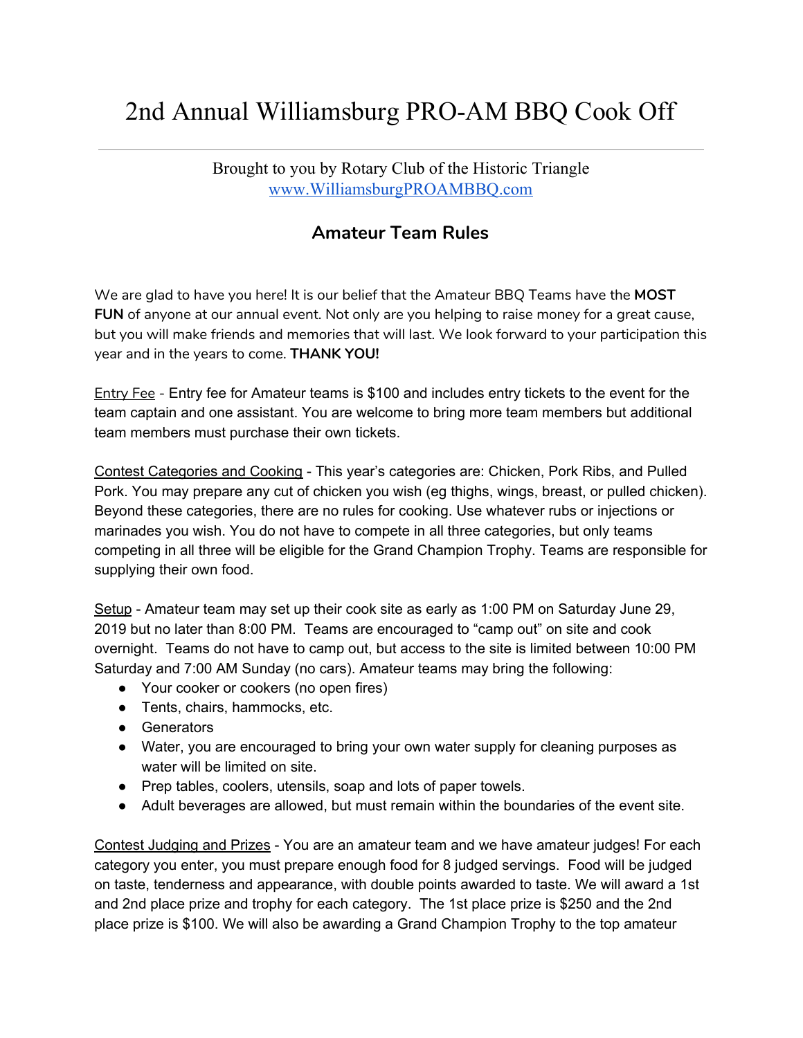## 2nd Annual Williamsburg PRO-AM BBQ Cook Off

Brought to you by Rotary Club of the Historic Triangle [www.WilliamsburgPROAMBBQ.com](http://www.williamsburgproambbq.com/)

## **Amateur Team Rules**

We are glad to have you here! It is our belief that the Amateur BBQ Teams have the **MOST FUN** of anyone at our annual event. Not only are you helping to raise money for a great cause, but you will make friends and memories that will last. We look forward to your participation this year and in the years to come. **THANK YOU!**

Entry Fee - Entry fee for Amateur teams is \$100 and includes entry tickets to the event for the team captain and one assistant. You are welcome to bring more team members but additional team members must purchase their own tickets.

Contest Categories and Cooking - This year's categories are: Chicken, Pork Ribs, and Pulled Pork. You may prepare any cut of chicken you wish (eg thighs, wings, breast, or pulled chicken). Beyond these categories, there are no rules for cooking. Use whatever rubs or injections or marinades you wish. You do not have to compete in all three categories, but only teams competing in all three will be eligible for the Grand Champion Trophy. Teams are responsible for supplying their own food.

Setup - Amateur team may set up their cook site as early as 1:00 PM on Saturday June 29, 2019 but no later than 8:00 PM. Teams are encouraged to "camp out" on site and cook overnight. Teams do not have to camp out, but access to the site is limited between 10:00 PM Saturday and 7:00 AM Sunday (no cars). Amateur teams may bring the following:

- Your cooker or cookers (no open fires)
- Tents, chairs, hammocks, etc.
- Generators
- Water, you are encouraged to bring your own water supply for cleaning purposes as water will be limited on site.
- Prep tables, coolers, utensils, soap and lots of paper towels.
- Adult beverages are allowed, but must remain within the boundaries of the event site.

Contest Judging and Prizes - You are an amateur team and we have amateur judges! For each category you enter, you must prepare enough food for 8 judged servings. Food will be judged on taste, tenderness and appearance, with double points awarded to taste. We will award a 1st and 2nd place prize and trophy for each category. The 1st place prize is \$250 and the 2nd place prize is \$100. We will also be awarding a Grand Champion Trophy to the top amateur